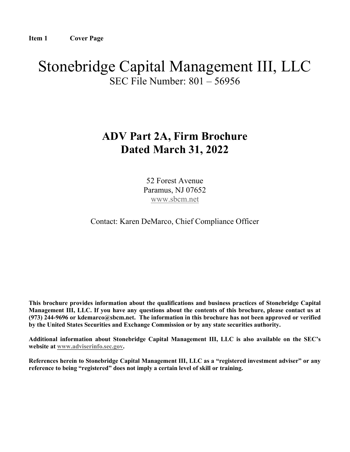# Stonebridge Capital Management III, LLC SEC File Number: 801 – 56956

## ADV Part 2A, Firm Brochure Dated March 31, 2022

52 Forest Avenue Paramus, NJ 07652 www.sbcm.net

Contact: Karen DeMarco, Chief Compliance Officer

This brochure provides information about the qualifications and business practices of Stonebridge Capital Management III, LLC. If you have any questions about the contents of this brochure, please contact us at (973) 244-9696 or kdemarco@sbcm.net. The information in this brochure has not been approved or verified by the United States Securities and Exchange Commission or by any state securities authority.

Additional information about Stonebridge Capital Management III, LLC is also available on the SEC's website at www.adviserinfo.sec.gov.

References herein to Stonebridge Capital Management III, LLC as a "registered investment adviser" or any reference to being "registered" does not imply a certain level of skill or training.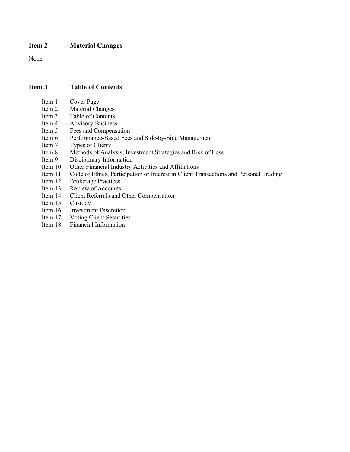## Item 2 Material Changes

None.

## Item 3 Table of Contents

- Item 1 Cover Page
- Item 2 Material Changes
- Item 3 Table of Contents<br>Item 4 Advisory Business
- **Advisory Business**
- Item 5 Fees and Compensation
- Item 6 Performance-Based Fees and Side-by-Side Management
- Item 7 Types of Clients
- Item 8 Methods of Analysis, Investment Strategies and Risk of Loss
- Item 9 Disciplinary Information<br>Item 10 Other Financial Industry
- Other Financial Industry Activities and Affiliations
- Item 11 Code of Ethics, Participation or Interest in Client Transactions and Personal Trading
- Item 12 Brokerage Practices<br>Item 13 Review of Accounts
- Review of Accounts
- Item 14 Client Referrals and Other Compensation
- Item 15 Custody
- Item 16 Investment Discretion
- Item 17 Voting Client Securities<br>Item 18 Financial Information
- Financial Information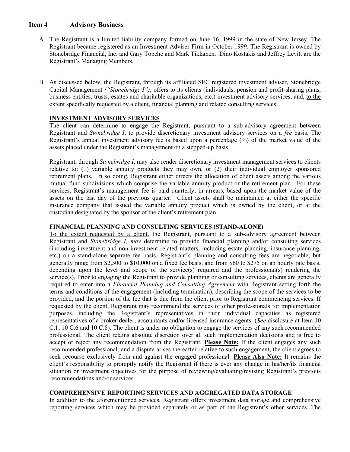## Item 4 Advisory Business

- A. The Registrant is a limited liability company formed on June 16, 1999 in the state of New Jersey. The Registrant became registered as an Investment Adviser Firm in October 1999. The Registrant is owned by Stonebridge Financial, Inc. and Gary Topche and Mark Tikkanen. Dino Kostakis and Jeffrey Levitt are the Registrant's Managing Members.
- B. As discussed below, the Registrant, through its affiliated SEC registered investment adviser, Stonebridge Capital Management ("Stonebridge I"), offers to its clients (individuals, pension and profit-sharing plans, business entities, trusts, estates and charitable organizations, etc.) investment advisory services, and, to the extent specifically requested by a client, financial planning and related consulting services.

## INVESTMENT ADVISORY SERVICES

The client can determine to engage the Registrant, pursuant to a sub-advisory agreement between Registrant and Stonebridge I, to provide discretionary investment advisory services on a fee basis. The Registrant's annual investment advisory fee is based upon a percentage (%) of the market value of the assets placed under the Registrant's management on a stepped-up basis.

Registrant, through *Stonebridge I*, may also render discretionary investment management services to clients relative to: (1) variable annuity products they may own, or (2) their individual employer sponsored retirement plans. In so doing, Registrant either directs the allocation of client assets among the various mutual fund subdivisions which comprise the variable annuity product or the retirement plan. For these services, Registrant's management fee is paid quarterly, in arrears, based upon the market value of the assets on the last day of the previous quarter. Client assets shall be maintained at either the specific insurance company that issued the variable annuity product which is owned by the client, or at the custodian designated by the sponsor of the client's retirement plan.

#### FINANCIAL PLANNING AND CONSULTING SERVICES (STAND-ALONE)

To the extent requested by a client, the Registrant, pursuant to a sub-advisory agreement between Registrant and Stonebridge I, may determine to provide financial planning and/or consulting services (including investment and non-investment related matters, including estate planning, insurance planning, etc.) on a stand-alone separate fee basis. Registrant's planning and consulting fees are negotiable, but generally range from \$2,500 to \$10,000 on a fixed fee basis, and from \$60 to \$275 on an hourly rate basis, depending upon the level and scope of the service(s) required and the professional(s) rendering the service(s). Prior to engaging the Registrant to provide planning or consulting services, clients are generally required to enter into a Financial Planning and Consulting Agreement with Registrant setting forth the terms and conditions of the engagement (including termination), describing the scope of the services to be provided, and the portion of the fee that is due from the client prior to Registrant commencing services. If requested by the client, Registrant may recommend the services of other professionals for implementation purposes, including the Registrant's representatives in their individual capacities as registered representatives of a broker-dealer, accountants and/or licensed insurance agents. (See disclosure at Item 10) C.1, 10 C.6 and 10 C.8). The client is under no obligation to engage the services of any such recommended professional. The client retains absolute discretion over all such implementation decisions and is free to accept or reject any recommendation from the Registrant. Please Note: If the client engages any such recommended professional, and a dispute arises thereafter relative to such engagement, the client agrees to seek recourse exclusively from and against the engaged professional. Please Also Note: It remains the client's responsibility to promptly notify the Registrant if there is ever any change in his/her/its financial situation or investment objectives for the purpose of reviewing/evaluating/revising Registrant's previous recommendations and/or services.

## COMPREHENSIVE REPORTING SERVICES AND AGGREGATED DATA STORAGE

In addition to the aforementioned services, Registrant offers investment data storage and comprehensive reporting services which may be provided separately or as part of the Registrant's other services. The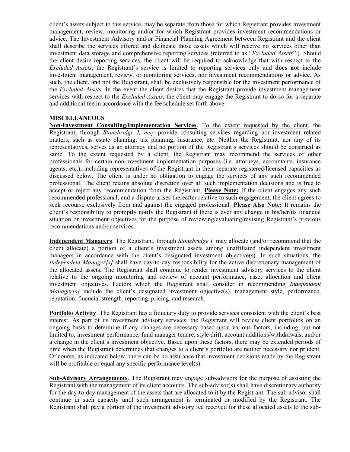client's assets subject to this service, may be separate from those for which Registrant provides investment management, review, monitoring and/or for which Registrant provides investment recommendations or advice. The Investment Advisory and/or Financial Planning Agreement between Registrant and the client shall describe the services offered and delineate those assets which will receive no services other than investment data storage and comprehensive reporting services (referred to as "Excluded Assets".). Should the client desire reporting services, the client will be required to acknowledge that with respect to the Excluded Assets, the Registrant's service is limited to reporting services only and does not include investment management, review, or monitoring services, nor investment recommendations or advice. As such, the client, and not the Registrant, shall be exclusively responsible for the investment performance of the Excluded Assets. In the event the client desires that the Registrant provide investment management services with respect to the *Excluded Assets*, the client may engage the Registrant to do so for a separate and additional fee in accordance with the fee schedule set forth above.

#### MISCELLANEOUS

Non-Investment Consulting/Implementation Services. To the extent requested by the client, the Registrant, through Stonebridge I, may provide consulting services regarding non-investment related matters, such as estate planning, tax planning, insurance, etc. Neither the Registrant, nor any of its representatives, serves as an attorney and no portion of the Registrant's services should be construed as same. To the extent requested by a client, the Registrant may recommend the services of other professionals for certain non-investment implementation purposes (i.e. attorneys, accountants, insurance agents, etc.), including representatives of the Registrant in their separate registered/licensed capacities as discussed below. The client is under no obligation to engage the services of any such recommended professional. The client retains absolute discretion over all such implementation decisions and is free to accept or reject any recommendation from the Registrant. Please Note: If the client engages any such recommended professional, and a dispute arises thereafter relative to such engagement, the client agrees to seek recourse exclusively from and against the engaged professional. Please Also Note: It remains the client's responsibility to promptly notify the Registrant if there is ever any change in his/her/its financial situation or investment objectives for the purpose of reviewing/evaluating/revising Registrant's previous recommendations and/or services.

Independent Managers. The Registrant, through Stonebridge I, may allocate (and/or recommend that the client allocate) a portion of a client's investment assets among unaffiliated independent investment managers in accordance with the client's designated investment objective(s). In such situations, the Independent Manager[s] shall have day-to-day responsibility for the active discretionary management of the allocated assets. The Registrant shall continue to render investment advisory services to the client relative to the ongoing monitoring and review of account performance, asset allocation and client investment objectives. Factors which the Registrant shall consider in recommending Independent *Manager[s]* include the client's designated investment objective(s), management style, performance, reputation, financial strength, reporting, pricing, and research.

Portfolio Activity. The Registrant has a fiduciary duty to provide services consistent with the client's best interest. As part of its investment advisory services, the Registrant will review client portfolios on an ongoing basis to determine if any changes are necessary based upon various factors, including, but not limited to, investment performance, fund manager tenure, style drift, account additions/withdrawals, and/or a change in the client's investment objective. Based upon these factors, there may be extended periods of time when the Registrant determines that changes to a client's portfolio are neither necessary nor prudent. Of course, as indicated below, there can be no assurance that investment decisions made by the Registrant will be profitable or equal any specific performance level(s).

Sub-Advisory Arrangements. The Registrant may engage sub-advisors for the purpose of assisting the Registrant with the management of its client accounts. The sub-advisor(s) shall have discretionary authority for the day-to-day management of the assets that are allocated to it by the Registrant. The sub-advisor shall continue in such capacity until such arrangement is terminated or modified by the Registrant. The Registrant shall pay a portion of the investment advisory fee received for these allocated assets to the sub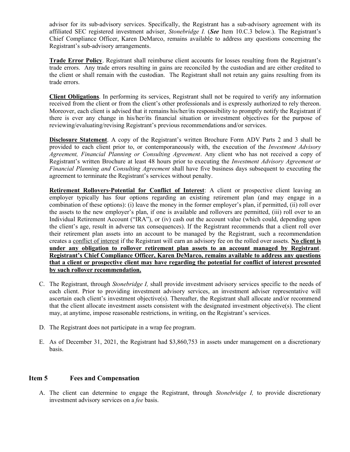advisor for its sub-advisory services. Specifically, the Registrant has a sub-advisory agreement with its affiliated SEC registered investment adviser, Stonebridge I. (See Item 10.C.3 below.). The Registrant's Chief Compliance Officer, Karen DeMarco, remains available to address any questions concerning the Registrant's sub-advisory arrangements.

Trade Error Policy. Registrant shall reimburse client accounts for losses resulting from the Registrant's trade errors. Any trade errors resulting in gains are reconciled by the custodian and are either credited to the client or shall remain with the custodian. The Registrant shall not retain any gains resulting from its trade errors.

Client Obligations. In performing its services, Registrant shall not be required to verify any information received from the client or from the client's other professionals and is expressly authorized to rely thereon. Moreover, each client is advised that it remains his/her/its responsibility to promptly notify the Registrant if there is ever any change in his/her/its financial situation or investment objectives for the purpose of reviewing/evaluating/revising Registrant's previous recommendations and/or services.

Disclosure Statement. A copy of the Registrant's written Brochure Form ADV Parts 2 and 3 shall be provided to each client prior to, or contemporaneously with, the execution of the Investment Advisory Agreement, Financial Planning or Consulting Agreement. Any client who has not received a copy of Registrant's written Brochure at least 48 hours prior to executing the Investment Advisory Agreement or Financial Planning and Consulting Agreement shall have five business days subsequent to executing the agreement to terminate the Registrant's services without penalty.

Retirement Rollovers-Potential for Conflict of Interest: A client or prospective client leaving an employer typically has four options regarding an existing retirement plan (and may engage in a combination of these options): (i) leave the money in the former employer's plan, if permitted, (ii) roll over the assets to the new employer's plan, if one is available and rollovers are permitted, (iii) roll over to an Individual Retirement Account ("IRA"), or (iv) cash out the account value (which could, depending upon the client's age, result in adverse tax consequences). If the Registrant recommends that a client roll over their retirement plan assets into an account to be managed by the Registrant, such a recommendation creates a conflict of interest if the Registrant will earn an advisory fee on the rolled over assets. No client is under any obligation to rollover retirement plan assets to an account managed by Registrant. Registrant's Chief Compliance Officer, Karen DeMarco, remains available to address any questions that a client or prospective client may have regarding the potential for conflict of interest presented by such rollover recommendation.

- C. The Registrant, through Stonebridge I, shall provide investment advisory services specific to the needs of each client. Prior to providing investment advisory services, an investment adviser representative will ascertain each client's investment objective(s). Thereafter, the Registrant shall allocate and/or recommend that the client allocate investment assets consistent with the designated investment objective(s). The client may, at anytime, impose reasonable restrictions, in writing, on the Registrant's services.
- D. The Registrant does not participate in a wrap fee program.
- E. As of December 31, 2021, the Registrant had \$3,860,753 in assets under management on a discretionary basis.

## Item 5 Fees and Compensation

A. The client can determine to engage the Registrant, through Stonebridge I, to provide discretionary investment advisory services on a fee basis.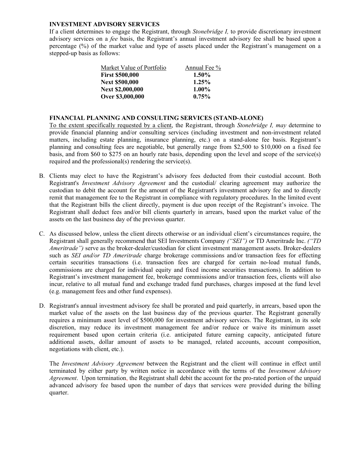#### INVESTMENT ADVISORY SERVICES

If a client determines to engage the Registrant, through Stonebridge I, to provide discretionary investment advisory services on a fee basis, the Registrant's annual investment advisory fee shall be based upon a percentage (%) of the market value and type of assets placed under the Registrant's management on a stepped-up basis as follows:

| Market Value of Portfolio | Annual Fee $\%$ |
|---------------------------|-----------------|
| <b>First \$500,000</b>    | 1.50%           |
| <b>Next \$500,000</b>     | $1.25\%$        |
| <b>Next \$2,000,000</b>   | $1.00\%$        |
| Over \$3,000,000          | $0.75\%$        |

#### FINANCIAL PLANNING AND CONSULTING SERVICES (STAND-ALONE)

To the extent specifically requested by a client, the Registrant, through Stonebridge I, may determine to provide financial planning and/or consulting services (including investment and non-investment related matters, including estate planning, insurance planning, etc.) on a stand-alone fee basis. Registrant's planning and consulting fees are negotiable, but generally range from \$2,500 to \$10,000 on a fixed fee basis, and from \$60 to \$275 on an hourly rate basis, depending upon the level and scope of the service(s) required and the professional(s) rendering the service(s).

- B. Clients may elect to have the Registrant's advisory fees deducted from their custodial account. Both Registrant's Investment Advisory Agreement and the custodial/ clearing agreement may authorize the custodian to debit the account for the amount of the Registrant's investment advisory fee and to directly remit that management fee to the Registrant in compliance with regulatory procedures. In the limited event that the Registrant bills the client directly, payment is due upon receipt of the Registrant's invoice. The Registrant shall deduct fees and/or bill clients quarterly in arrears, based upon the market value of the assets on the last business day of the previous quarter.
- C. As discussed below, unless the client directs otherwise or an individual client's circumstances require, the Registrant shall generally recommend that SEI Investments Company ("SEI") or TD Ameritrade Inc. ("TD Ameritrade") serve as the broker-dealer/custodian for client investment management assets. Broker-dealers such as *SEI and/or TD Ameritrade* charge brokerage commissions and/or transaction fees for effecting certain securities transactions (i.e. transaction fees are charged for certain no-load mutual funds, commissions are charged for individual equity and fixed income securities transactions). In addition to Registrant's investment management fee, brokerage commissions and/or transaction fees, clients will also incur, relative to all mutual fund and exchange traded fund purchases, charges imposed at the fund level (e.g. management fees and other fund expenses).
- D. Registrant's annual investment advisory fee shall be prorated and paid quarterly, in arrears, based upon the market value of the assets on the last business day of the previous quarter. The Registrant generally requires a minimum asset level of \$500,000 for investment advisory services. The Registrant, in its sole discretion, may reduce its investment management fee and/or reduce or waive its minimum asset requirement based upon certain criteria (i.e. anticipated future earning capacity, anticipated future additional assets, dollar amount of assets to be managed, related accounts, account composition, negotiations with client, etc.).

The Investment Advisory Agreement between the Registrant and the client will continue in effect until terminated by either party by written notice in accordance with the terms of the *Investment Advisorv* Agreement. Upon termination, the Registrant shall debit the account for the pro-rated portion of the unpaid advanced advisory fee based upon the number of days that services were provided during the billing quarter.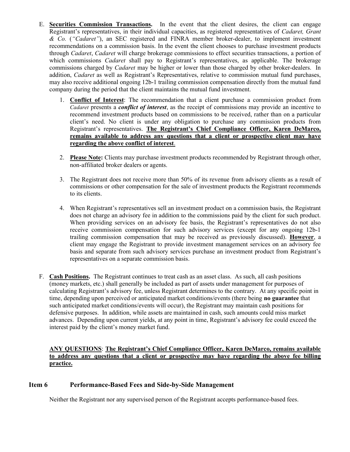- E. Securities Commission Transactions. In the event that the client desires, the client can engage Registrant's representatives, in their individual capacities, as registered representatives of Cadaret, Grant & Co. ("Cadaret"), an SEC registered and FINRA member broker-dealer, to implement investment recommendations on a commission basis. In the event the client chooses to purchase investment products through Cadaret, Cadaret will charge brokerage commissions to effect securities transactions, a portion of which commissions *Cadaret* shall pay to Registrant's representatives, as applicable. The brokerage commissions charged by *Cadaret* may be higher or lower than those charged by other broker-dealers. In addition, Cadaret as well as Registrant's Representatives, relative to commission mutual fund purchases, may also receive additional ongoing 12b-1 trailing commission compensation directly from the mutual fund company during the period that the client maintains the mutual fund investment.
	- 1. Conflict of Interest: The recommendation that a client purchase a commission product from Cadaret presents a **conflict of interest**, as the receipt of commissions may provide an incentive to recommend investment products based on commissions to be received, rather than on a particular client's need. No client is under any obligation to purchase any commission products from Registrant's representatives. The Registrant's Chief Compliance Officer, Karen DeMarco, remains available to address any questions that a client or prospective client may have regarding the above conflict of interest.
	- 2. Please Note: Clients may purchase investment products recommended by Registrant through other, non-affiliated broker dealers or agents.
	- 3. The Registrant does not receive more than 50% of its revenue from advisory clients as a result of commissions or other compensation for the sale of investment products the Registrant recommends to its clients.
	- 4. When Registrant's representatives sell an investment product on a commission basis, the Registrant does not charge an advisory fee in addition to the commissions paid by the client for such product. When providing services on an advisory fee basis, the Registrant's representatives do not also receive commission compensation for such advisory services (except for any ongoing 12b-1 trailing commission compensation that may be received as previously discussed). However, a client may engage the Registrant to provide investment management services on an advisory fee basis and separate from such advisory services purchase an investment product from Registrant's representatives on a separate commission basis.
- F. Cash Positions. The Registrant continues to treat cash as an asset class. As such, all cash positions (money markets, etc.) shall generally be included as part of assets under management for purposes of calculating Registrant's advisory fee, unless Registrant determines to the contrary. At any specific point in time, depending upon perceived or anticipated market conditions/events (there being no guarantee that such anticipated market conditions/events will occur), the Registrant may maintain cash positions for defensive purposes. In addition, while assets are maintained in cash, such amounts could miss market advances. Depending upon current yields, at any point in time, Registrant's advisory fee could exceed the interest paid by the client's money market fund.

#### ANY QUESTIONS: The Registrant's Chief Compliance Officer, Karen DeMarco, remains available to address any questions that a client or prospective may have regarding the above fee billing practice.

## Item 6 Performance-Based Fees and Side-by-Side Management

Neither the Registrant nor any supervised person of the Registrant accepts performance-based fees.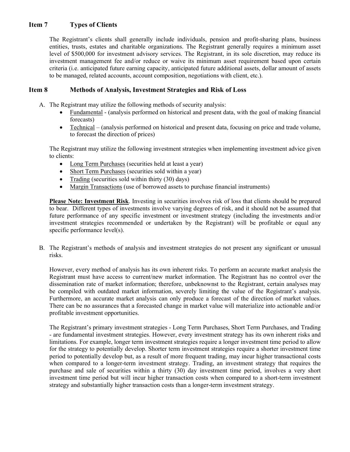## Item 7 Types of Clients

The Registrant's clients shall generally include individuals, pension and profit-sharing plans, business entities, trusts, estates and charitable organizations. The Registrant generally requires a minimum asset level of \$500,000 for investment advisory services. The Registrant, in its sole discretion, may reduce its investment management fee and/or reduce or waive its minimum asset requirement based upon certain criteria (i.e. anticipated future earning capacity, anticipated future additional assets, dollar amount of assets to be managed, related accounts, account composition, negotiations with client, etc.).

## Item 8 Methods of Analysis, Investment Strategies and Risk of Loss

- A. The Registrant may utilize the following methods of security analysis:
	- Fundamental (analysis performed on historical and present data, with the goal of making financial forecasts)
	- Technical (analysis performed on historical and present data, focusing on price and trade volume, to forecast the direction of prices)

The Registrant may utilize the following investment strategies when implementing investment advice given to clients:

- Long Term Purchases (securities held at least a year)
- Short Term Purchases (securities sold within a year)
- Trading (securities sold within thirty  $(30)$  days)
- Margin Transactions (use of borrowed assets to purchase financial instruments)

Please Note: Investment Risk. Investing in securities involves risk of loss that clients should be prepared to bear. Different types of investments involve varying degrees of risk, and it should not be assumed that future performance of any specific investment or investment strategy (including the investments and/or investment strategies recommended or undertaken by the Registrant) will be profitable or equal any specific performance level(s).

B. The Registrant's methods of analysis and investment strategies do not present any significant or unusual risks.

However, every method of analysis has its own inherent risks. To perform an accurate market analysis the Registrant must have access to current/new market information. The Registrant has no control over the dissemination rate of market information; therefore, unbeknownst to the Registrant, certain analyses may be compiled with outdated market information, severely limiting the value of the Registrant's analysis. Furthermore, an accurate market analysis can only produce a forecast of the direction of market values. There can be no assurances that a forecasted change in market value will materialize into actionable and/or profitable investment opportunities.

The Registrant's primary investment strategies - Long Term Purchases, Short Term Purchases, and Trading - are fundamental investment strategies. However, every investment strategy has its own inherent risks and limitations. For example, longer term investment strategies require a longer investment time period to allow for the strategy to potentially develop. Shorter term investment strategies require a shorter investment time period to potentially develop but, as a result of more frequent trading, may incur higher transactional costs when compared to a longer-term investment strategy. Trading, an investment strategy that requires the purchase and sale of securities within a thirty (30) day investment time period, involves a very short investment time period but will incur higher transaction costs when compared to a short-term investment strategy and substantially higher transaction costs than a longer-term investment strategy.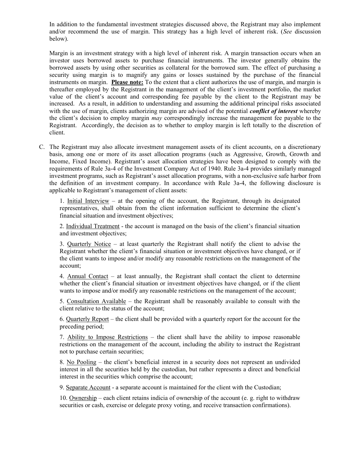In addition to the fundamental investment strategies discussed above, the Registrant may also implement and/or recommend the use of margin. This strategy has a high level of inherent risk. (See discussion below).

Margin is an investment strategy with a high level of inherent risk. A margin transaction occurs when an investor uses borrowed assets to purchase financial instruments. The investor generally obtains the borrowed assets by using other securities as collateral for the borrowed sum. The effect of purchasing a security using margin is to magnify any gains or losses sustained by the purchase of the financial instruments on margin. Please note: To the extent that a client authorizes the use of margin, and margin is thereafter employed by the Registrant in the management of the client's investment portfolio, the market value of the client's account and corresponding fee payable by the client to the Registrant may be increased. As a result, in addition to understanding and assuming the additional principal risks associated with the use of margin, clients authorizing margin are advised of the potential *conflict of interest* whereby the client's decision to employ margin may correspondingly increase the management fee payable to the Registrant. Accordingly, the decision as to whether to employ margin is left totally to the discretion of client.

C. The Registrant may also allocate investment management assets of its client accounts, on a discretionary basis, among one or more of its asset allocation programs (such as Aggressive, Growth, Growth and Income, Fixed Income). Registrant's asset allocation strategies have been designed to comply with the requirements of Rule 3a-4 of the Investment Company Act of 1940. Rule 3a-4 provides similarly managed investment programs, such as Registrant's asset allocation programs, with a non-exclusive safe harbor from the definition of an investment company. In accordance with Rule 3a-4, the following disclosure is applicable to Registrant's management of client assets:

1. Initial Interview – at the opening of the account, the Registrant, through its designated representatives, shall obtain from the client information sufficient to determine the client's financial situation and investment objectives;

2. Individual Treatment - the account is managed on the basis of the client's financial situation and investment objectives;

3. Quarterly Notice – at least quarterly the Registrant shall notify the client to advise the Registrant whether the client's financial situation or investment objectives have changed, or if the client wants to impose and/or modify any reasonable restrictions on the management of the account;

4. Annual Contact – at least annually, the Registrant shall contact the client to determine whether the client's financial situation or investment objectives have changed, or if the client wants to impose and/or modify any reasonable restrictions on the management of the account;

5. Consultation Available – the Registrant shall be reasonably available to consult with the client relative to the status of the account;

6. Quarterly Report – the client shall be provided with a quarterly report for the account for the preceding period;

7. Ability to Impose Restrictions – the client shall have the ability to impose reasonable restrictions on the management of the account, including the ability to instruct the Registrant not to purchase certain securities;

8. No Pooling – the client's beneficial interest in a security does not represent an undivided interest in all the securities held by the custodian, but rather represents a direct and beneficial interest in the securities which comprise the account;

9. Separate Account - a separate account is maintained for the client with the Custodian;

10. Ownership – each client retains indicia of ownership of the account (e. g. right to withdraw securities or cash, exercise or delegate proxy voting, and receive transaction confirmations).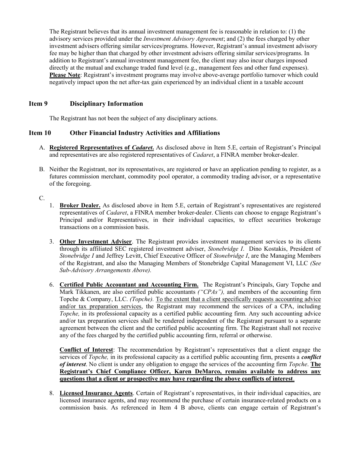The Registrant believes that its annual investment management fee is reasonable in relation to: (1) the advisory services provided under the Investment Advisory Agreement; and (2) the fees charged by other investment advisers offering similar services/programs. However, Registrant's annual investment advisory fee may be higher than that charged by other investment advisers offering similar services/programs. In addition to Registrant's annual investment management fee, the client may also incur charges imposed directly at the mutual and exchange traded fund level (e.g., management fees and other fund expenses). Please Note: Registrant's investment programs may involve above-average portfolio turnover which could negatively impact upon the net after-tax gain experienced by an individual client in a taxable account

## Item 9 Disciplinary Information

The Registrant has not been the subject of any disciplinary actions.

## Item 10 Other Financial Industry Activities and Affiliations

- A. Registered Representatives of Cadaret. As disclosed above in Item 5.E, certain of Registrant's Principal and representatives are also registered representatives of Cadaret, a FINRA member broker-dealer.
- B. Neither the Registrant, nor its representatives, are registered or have an application pending to register, as a futures commission merchant, commodity pool operator, a commodity trading advisor, or a representative of the foregoing.

C.

- 1. Broker Dealer. As disclosed above in Item 5.E, certain of Registrant's representatives are registered representatives of *Cadaret*, a FINRA member broker-dealer. Clients can choose to engage Registrant's Principal and/or Representatives, in their individual capacities, to effect securities brokerage transactions on a commission basis.
- 3. Other Investment Adviser. The Registrant provides investment management services to its clients through its affiliated SEC registered investment adviser, Stonebridge I. Dino Kostakis, President of Stonebridge I and Jeffrey Levitt, Chief Executive Officer of Stonebridge I, are the Managing Members of the Registrant, and also the Managing Members of Stonebridge Capital Management VI, LLC (See Sub-Advisory Arrangements Above).
- 6. Certified Public Accountant and Accounting Firm. The Registrant's Principals, Gary Topche and Mark Tikkanen, are also certified public accountants ("CPAs"), and members of the accounting firm Topche & Company, LLC. *(Topche)*. To the extent that a client specifically requests accounting advice and/or tax preparation services, the Registrant may recommend the services of a CPA, including Topche, in its professional capacity as a certified public accounting firm. Any such accounting advice and/or tax preparation services shall be rendered independent of the Registrant pursuant to a separate agreement between the client and the certified public accounting firm. The Registrant shall not receive any of the fees charged by the certified public accounting firm, referral or otherwise.

Conflict of Interest: The recommendation by Registrant's representatives that a client engage the services of *Topche*, in its professional capacity as a certified public accounting firm, presents a *conflict* of interest. No client is under any obligation to engage the services of the accounting firm *Topche*. The Registrant's Chief Compliance Officer, Karen DeMarco, remains available to address any questions that a client or prospective may have regarding the above conflicts of interest.

8. Licensed Insurance Agents. Certain of Registrant's representatives, in their individual capacities, are licensed insurance agents, and may recommend the purchase of certain insurance-related products on a commission basis. As referenced in Item 4 B above, clients can engage certain of Registrant's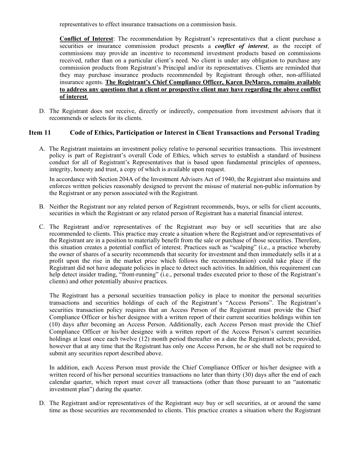representatives to effect insurance transactions on a commission basis.

Conflict of Interest: The recommendation by Registrant's representatives that a client purchase a securities or insurance commission product presents a *conflict of interest*, as the receipt of commissions may provide an incentive to recommend investment products based on commissions received, rather than on a particular client's need. No client is under any obligation to purchase any commission products from Registrant's Principal and/or its representatives. Clients are reminded that they may purchase insurance products recommended by Registrant through other, non-affiliated insurance agents. The Registrant's Chief Compliance Officer, Karen DeMarco, remains available to address any questions that a client or prospective client may have regarding the above conflict of interest.

D. The Registrant does not receive, directly or indirectly, compensation from investment advisors that it recommends or selects for its clients.

#### Item 11 Code of Ethics, Participation or Interest in Client Transactions and Personal Trading

A. The Registrant maintains an investment policy relative to personal securities transactions. This investment policy is part of Registrant's overall Code of Ethics, which serves to establish a standard of business conduct for all of Registrant's Representatives that is based upon fundamental principles of openness, integrity, honesty and trust, a copy of which is available upon request.

In accordance with Section 204A of the Investment Advisers Act of 1940, the Registrant also maintains and enforces written policies reasonably designed to prevent the misuse of material non-public information by the Registrant or any person associated with the Registrant.

- B. Neither the Registrant nor any related person of Registrant recommends, buys, or sells for client accounts, securities in which the Registrant or any related person of Registrant has a material financial interest.
- C. The Registrant and/or representatives of the Registrant may buy or sell securities that are also recommended to clients. This practice may create a situation where the Registrant and/or representatives of the Registrant are in a position to materially benefit from the sale or purchase of those securities. Therefore, this situation creates a potential conflict of interest. Practices such as "scalping" (i.e., a practice whereby the owner of shares of a security recommends that security for investment and then immediately sells it at a profit upon the rise in the market price which follows the recommendation) could take place if the Registrant did not have adequate policies in place to detect such activities. In addition, this requirement can help detect insider trading, "front-running" (i.e., personal trades executed prior to those of the Registrant's clients) and other potentially abusive practices.

The Registrant has a personal securities transaction policy in place to monitor the personal securities transactions and securities holdings of each of the Registrant's "Access Persons". The Registrant's securities transaction policy requires that an Access Person of the Registrant must provide the Chief Compliance Officer or his/her designee with a written report of their current securities holdings within ten (10) days after becoming an Access Person. Additionally, each Access Person must provide the Chief Compliance Officer or his/her designee with a written report of the Access Person's current securities holdings at least once each twelve (12) month period thereafter on a date the Registrant selects; provided, however that at any time that the Registrant has only one Access Person, he or she shall not be required to submit any securities report described above.

In addition, each Access Person must provide the Chief Compliance Officer or his/her designee with a written record of his/her personal securities transactions no later than thirty (30) days after the end of each calendar quarter, which report must cover all transactions (other than those pursuant to an "automatic investment plan") during the quarter.

D. The Registrant and/or representatives of the Registrant may buy or sell securities, at or around the same time as those securities are recommended to clients. This practice creates a situation where the Registrant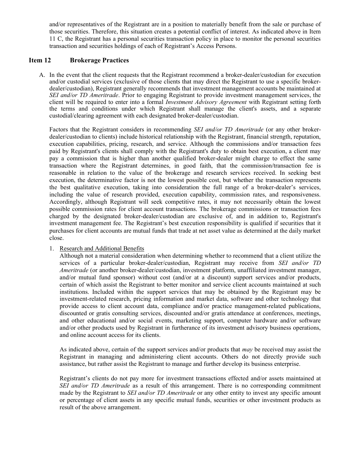and/or representatives of the Registrant are in a position to materially benefit from the sale or purchase of those securities. Therefore, this situation creates a potential conflict of interest. As indicated above in Item 11 C, the Registrant has a personal securities transaction policy in place to monitor the personal securities transaction and securities holdings of each of Registrant's Access Persons.

#### Item 12 Brokerage Practices

A. In the event that the client requests that the Registrant recommend a broker-dealer/custodian for execution and/or custodial services (exclusive of those clients that may direct the Registrant to use a specific brokerdealer/custodian), Registrant generally recommends that investment management accounts be maintained at SEI and/or TD Ameritrade. Prior to engaging Registrant to provide investment management services, the client will be required to enter into a formal *Investment Advisory Agreement* with Registrant setting forth the terms and conditions under which Registrant shall manage the client's assets, and a separate custodial/clearing agreement with each designated broker-dealer/custodian.

Factors that the Registrant considers in recommending *SEI and/or TD Ameritrade* (or any other brokerdealer/custodian to clients) include historical relationship with the Registrant, financial strength, reputation, execution capabilities, pricing, research, and service. Although the commissions and/or transaction fees paid by Registrant's clients shall comply with the Registrant's duty to obtain best execution, a client may pay a commission that is higher than another qualified broker-dealer might charge to effect the same transaction where the Registrant determines, in good faith, that the commission/transaction fee is reasonable in relation to the value of the brokerage and research services received. In seeking best execution, the determinative factor is not the lowest possible cost, but whether the transaction represents the best qualitative execution, taking into consideration the full range of a broker-dealer's services, including the value of research provided, execution capability, commission rates, and responsiveness. Accordingly, although Registrant will seek competitive rates, it may not necessarily obtain the lowest possible commission rates for client account transactions. The brokerage commissions or transaction fees charged by the designated broker-dealer/custodian are exclusive of, and in addition to, Registrant's investment management fee. The Registrant's best execution responsibility is qualified if securities that it purchases for client accounts are mutual funds that trade at net asset value as determined at the daily market close.

#### 1. Research and Additional Benefits

Although not a material consideration when determining whether to recommend that a client utilize the services of a particular broker-dealer/custodian, Registrant may receive from SEI and/or TD Ameritrade (or another broker-dealer/custodian, investment platform, unaffiliated investment manager, and/or mutual fund sponsor) without cost (and/or at a discount) support services and/or products, certain of which assist the Registrant to better monitor and service client accounts maintained at such institutions. Included within the support services that may be obtained by the Registrant may be investment-related research, pricing information and market data, software and other technology that provide access to client account data, compliance and/or practice management-related publications, discounted or gratis consulting services, discounted and/or gratis attendance at conferences, meetings, and other educational and/or social events, marketing support, computer hardware and/or software and/or other products used by Registrant in furtherance of its investment advisory business operations, and online account access for its clients.

As indicated above, certain of the support services and/or products that  $m \alpha y$  be received may assist the Registrant in managing and administering client accounts. Others do not directly provide such assistance, but rather assist the Registrant to manage and further develop its business enterprise.

Registrant's clients do not pay more for investment transactions effected and/or assets maintained at SEI and/or TD Ameritrade as a result of this arrangement. There is no corresponding commitment made by the Registrant to *SEI and/or TD Ameritrade* or any other entity to invest any specific amount or percentage of client assets in any specific mutual funds, securities or other investment products as result of the above arrangement.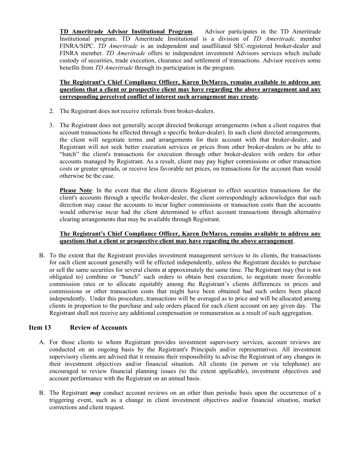TD Ameritrade Advisor Institutional Program. Advisor participates in the TD Ameritrade Institutional program. TD Ameritrade Institutional is a division of TD Ameritrade, member FINRA/SIPC. TD Ameritrade is an independent and unaffiliated SEC-registered broker-dealer and FINRA member. *TD Ameritrade* offers to independent investment Advisors services which include custody of securities, trade execution, clearance and settlement of transactions. Advisor receives some benefits from TD Ameritrade through its participation in the program.

#### The Registrant's Chief Compliance Officer, Karen DeMarco, remains available to address any questions that a client or prospective client may have regarding the above arrangement and any corresponding perceived conflict of interest such arrangement may create.

- 2. The Registrant does not receive referrals from broker-dealers.
- 3. The Registrant does not generally accept directed brokerage arrangements (when a client requires that account transactions be effected through a specific broker-dealer). In such client directed arrangements, the client will negotiate terms and arrangements for their account with that broker-dealer, and Registrant will not seek better execution services or prices from other broker-dealers or be able to "batch" the client's transactions for execution through other broker-dealers with orders for other accounts managed by Registrant. As a result, client may pay higher commissions or other transaction costs or greater spreads, or receive less favorable net prices, on transactions for the account than would otherwise be the case.

Please Note: In the event that the client directs Registrant to effect securities transactions for the client's accounts through a specific broker-dealer, the client correspondingly acknowledges that such direction may cause the accounts to incur higher commissions or transaction costs than the accounts would otherwise incur had the client determined to effect account transactions through alternative clearing arrangements that may be available through Registrant.

#### The Registrant's Chief Compliance Officer, Karen DeMarco, remains available to address any questions that a client or prospective client may have regarding the above arrangement.

B. To the extent that the Registrant provides investment management services to its clients, the transactions for each client account generally will be effected independently, unless the Registrant decides to purchase or sell the same securities for several clients at approximately the same time. The Registrant may (but is not obligated to) combine or "bunch" such orders to obtain best execution, to negotiate more favorable commission rates or to allocate equitably among the Registrant's clients differences in prices and commissions or other transaction costs that might have been obtained had such orders been placed independently. Under this procedure, transactions will be averaged as to price and will be allocated among clients in proportion to the purchase and sale orders placed for each client account on any given day. The Registrant shall not receive any additional compensation or remuneration as a result of such aggregation.

## Item 13 Review of Accounts

- A. For those clients to whom Registrant provides investment supervisory services, account reviews are conducted on an ongoing basis by the Registrant's Principals and/or representatives. All investment supervisory clients are advised that it remains their responsibility to advise the Registrant of any changes in their investment objectives and/or financial situation. All clients (in person or via telephone) are encouraged to review financial planning issues (to the extent applicable), investment objectives and account performance with the Registrant on an annual basis.
- B. The Registrant *may* conduct account reviews on an other than periodic basis upon the occurrence of a triggering event, such as a change in client investment objectives and/or financial situation, market corrections and client request.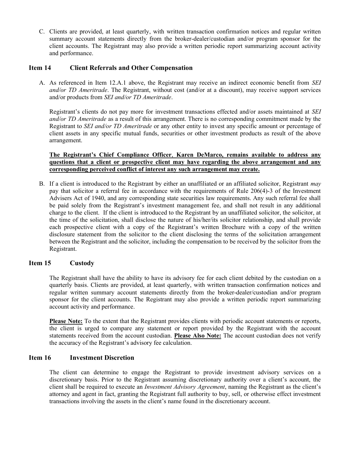C. Clients are provided, at least quarterly, with written transaction confirmation notices and regular written summary account statements directly from the broker-dealer/custodian and/or program sponsor for the client accounts. The Registrant may also provide a written periodic report summarizing account activity and performance.

## Item 14 Client Referrals and Other Compensation

A. As referenced in Item 12.A.1 above, the Registrant may receive an indirect economic benefit from SEI and/or TD Ameritrade. The Registrant, without cost (and/or at a discount), may receive support services and/or products from SEI and/or TD Ameritrade.

Registrant's clients do not pay more for investment transactions effected and/or assets maintained at SEI and/or TD Ameritrade as a result of this arrangement. There is no corresponding commitment made by the Registrant to SEI and/or TD Ameritrade or any other entity to invest any specific amount or percentage of client assets in any specific mutual funds, securities or other investment products as result of the above arrangement.

#### The Registrant's Chief Compliance Officer, Karen DeMarco, remains available to address any questions that a client or prospective client may have regarding the above arrangement and any corresponding perceived conflict of interest any such arrangement may create.

B. If a client is introduced to the Registrant by either an unaffiliated or an affiliated solicitor, Registrant may pay that solicitor a referral fee in accordance with the requirements of Rule 206(4)-3 of the Investment Advisers Act of 1940, and any corresponding state securities law requirements. Any such referral fee shall be paid solely from the Registrant's investment management fee, and shall not result in any additional charge to the client. If the client is introduced to the Registrant by an unaffiliated solicitor, the solicitor, at the time of the solicitation, shall disclose the nature of his/her/its solicitor relationship, and shall provide each prospective client with a copy of the Registrant's written Brochure with a copy of the written disclosure statement from the solicitor to the client disclosing the terms of the solicitation arrangement between the Registrant and the solicitor, including the compensation to be received by the solicitor from the Registrant.

## Item 15 Custody

The Registrant shall have the ability to have its advisory fee for each client debited by the custodian on a quarterly basis. Clients are provided, at least quarterly, with written transaction confirmation notices and regular written summary account statements directly from the broker-dealer/custodian and/or program sponsor for the client accounts. The Registrant may also provide a written periodic report summarizing account activity and performance.

Please Note: To the extent that the Registrant provides clients with periodic account statements or reports, the client is urged to compare any statement or report provided by the Registrant with the account statements received from the account custodian. Please Also Note: The account custodian does not verify the accuracy of the Registrant's advisory fee calculation.

## Item 16 Investment Discretion

The client can determine to engage the Registrant to provide investment advisory services on a discretionary basis. Prior to the Registrant assuming discretionary authority over a client's account, the client shall be required to execute an *Investment Advisory Agreement*, naming the Registrant as the client's attorney and agent in fact, granting the Registrant full authority to buy, sell, or otherwise effect investment transactions involving the assets in the client's name found in the discretionary account.